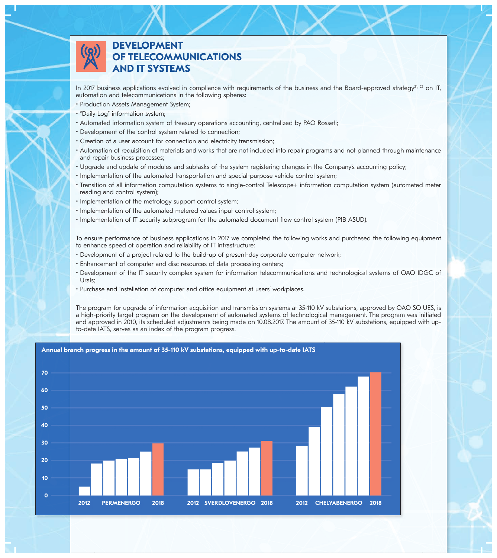

## **DEVELOPMENT TELECOMMUNICATIONS AND IT SYSTEMS**

In 2017 business applications evolved in compliance with requirements of the business and the Board-approved strategy<sup>21, 22</sup> on IT, automation and telecommunications in the following spheres:

- Production Assets Management System;
- "Daily Log" information system;
- Automated information system of treasury operations accounting, centralized by PAO Rosseti;
- Development of the control system related to connection;
- Creation of a user account for connection and electricity transmission;
- Automation of requisition of materials and works that are not included into repair programs and not planned through maintenance and repair business processes;
- Upgrade and update of modules and subtasks of the system registering changes in the Company's accounting policy;
- Implementation of the automated transportation and special-purpose vehicle control system;
- Transition of all information computation systems to single-control Telescope+ information computation system (automated meter reading and control system);
- Implementation of the metrology support control system;
- Implementation of the automated metered values input control system;
- Implementation of IT security subprogram for the automated document flow control system (PIB ASUD).

To ensure performance of business applications in 2017 we completed the following works and purchased the following equipment to enhance speed of operation and reliability of IT infrastructure:

- Development of a project related to the build-up of present-day corporate computer network;
- Enhancement of computer and disc resources of data processing centers;
- Development of the IT security complex system for information telecommunications and technological systems of OAO IDGC of Urals;
- Purchase and installation of computer and office equipment at users' workplaces.

The program for upgrade of information acquisition and transmission systems at 35-110 kV substations, approved by OAO SO UES, is a high-priority target program on the development of automated systems of technological management. The program was initiated and approved in 2010, its scheduled adjustments being made on 10.08.2017. The amount of 35-110 kV substations, equipped with upto-date IATS, serves as an index of the program progress.

**Annual branch progress in the amount of 35-110 kV substations, equipped with up-to-date IATS**